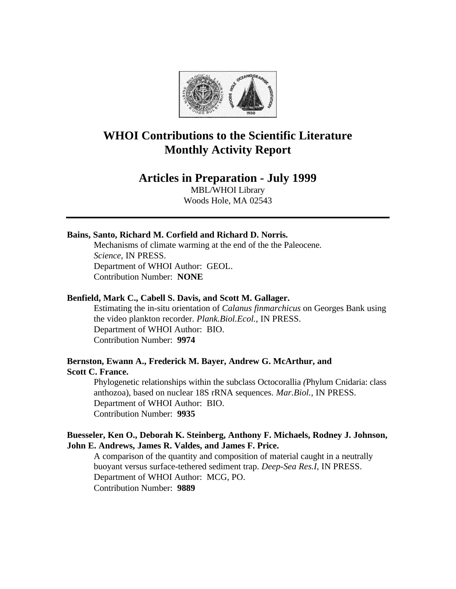

# **WHOI Contributions to the Scientific Literature Monthly Activity Report**

## **Articles in Preparation - July 1999**

MBL/WHOI Library Woods Hole, MA 02543

## **Bains, Santo, Richard M. Corfield and Richard D. Norris.**

Mechanisms of climate warming at the end of the the Paleocene. *Science*, IN PRESS. Department of WHOI Author: GEOL. Contribution Number: **NONE**

#### **Benfield, Mark C., Cabell S. Davis, and Scott M. Gallager.**

Estimating the in-situ orientation of *Calanus finmarchicus* on Georges Bank using the video plankton recorder. *Plank.Biol.Ecol.*, IN PRESS. Department of WHOI Author: BIO. Contribution Number: **9974**

## **Bernston, Ewann A., Frederick M. Bayer, Andrew G. McArthur, and Scott C. France.**

Phylogenetic relationships within the subclass Octocorallia *(*Phylum Cnidaria: class anthozoa), based on nuclear 18S rRNA sequences. *Mar.Biol.*, IN PRESS. Department of WHOI Author: BIO. Contribution Number: **9935**

## **Buesseler, Ken O., Deborah K. Steinberg, Anthony F. Michaels, Rodney J. Johnson, John E. Andrews, James R. Valdes, and James F. Price.**

A comparison of the quantity and composition of material caught in a neutrally buoyant versus surface-tethered sediment trap. *Deep-Sea Res.I*, IN PRESS. Department of WHOI Author: MCG, PO. Contribution Number: **9889**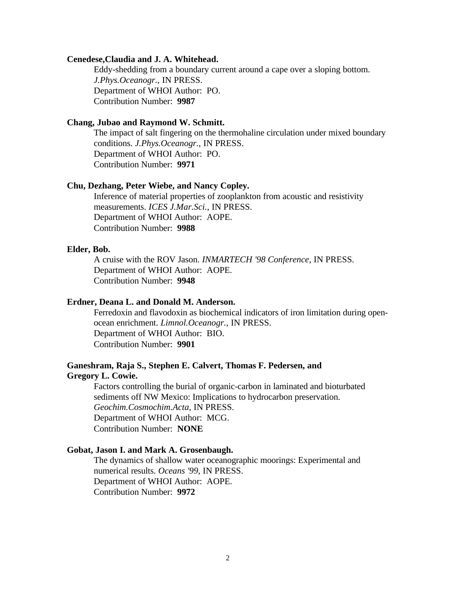#### **Cenedese,Claudia and J. A. Whitehead.**

Eddy-shedding from a boundary current around a cape over a sloping bottom. *J.Phys.Oceanogr.*, IN PRESS. Department of WHOI Author: PO. Contribution Number: **9987**

#### **Chang, Jubao and Raymond W. Schmitt.**

The impact of salt fingering on the thermohaline circulation under mixed boundary conditions. *J.Phys.Oceanogr.*, IN PRESS. Department of WHOI Author: PO. Contribution Number: **9971**

#### **Chu, Dezhang, Peter Wiebe, and Nancy Copley.**

Inference of material properties of zooplankton from acoustic and resistivity measurements. *ICES J.Mar.Sci.*, IN PRESS. Department of WHOI Author: AOPE. Contribution Number: **9988**

#### **Elder, Bob.**

A cruise with the ROV Jason. *INMARTECH '98 Conference*, IN PRESS. Department of WHOI Author: AOPE. Contribution Number: **9948**

#### **Erdner, Deana L. and Donald M. Anderson.**

Ferredoxin and flavodoxin as biochemical indicators of iron limitation during openocean enrichment. *Limnol.Oceanogr.*, IN PRESS. Department of WHOI Author: BIO. Contribution Number: **9901**

## **Ganeshram, Raja S., Stephen E. Calvert, Thomas F. Pedersen, and Gregory L. Cowie.**

Factors controlling the burial of organic-carbon in laminated and bioturbated sediments off NW Mexico: Implications to hydrocarbon preservation. *Geochim.Cosmochim.Acta*, IN PRESS. Department of WHOI Author: MCG. Contribution Number: **NONE**

#### **Gobat, Jason I. and Mark A. Grosenbaugh.**

The dynamics of shallow water oceanographic moorings: Experimental and numerical results. *Oceans '99*, IN PRESS. Department of WHOI Author: AOPE. Contribution Number: **9972**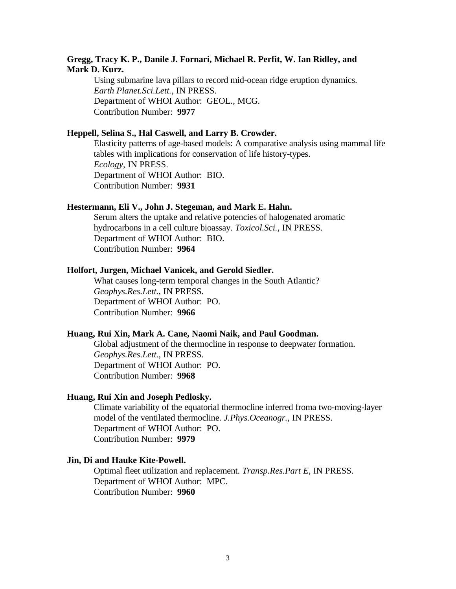## **Gregg, Tracy K. P., Danile J. Fornari, Michael R. Perfit, W. Ian Ridley, and Mark D. Kurz.**

Using submarine lava pillars to record mid-ocean ridge eruption dynamics. *Earth Planet.Sci.Lett.*, IN PRESS. Department of WHOI Author: GEOL., MCG. Contribution Number: **9977**

#### **Heppell, Selina S., Hal Caswell, and Larry B. Crowder.**

Elasticity patterns of age-based models: A comparative analysis using mammal life tables with implications for conservation of life history-types. *Ecology*, IN PRESS. Department of WHOI Author: BIO. Contribution Number: **9931**

#### **Hestermann, Eli V., John J. Stegeman, and Mark E. Hahn.**

Serum alters the uptake and relative potencies of halogenated aromatic hydrocarbons in a cell culture bioassay. *Toxicol.Sci.*, IN PRESS. Department of WHOI Author: BIO. Contribution Number: **9964**

## **Holfort, Jurgen, Michael Vanicek, and Gerold Siedler.**

What causes long-term temporal changes in the South Atlantic? *Geophys.Res.Lett.*, IN PRESS. Department of WHOI Author: PO. Contribution Number: **9966**

#### **Huang, Rui Xin, Mark A. Cane, Naomi Naik, and Paul Goodman.**

Global adjustment of the thermocline in response to deepwater formation. *Geophys.Res.Lett.*, IN PRESS. Department of WHOI Author: PO. Contribution Number: **9968**

#### **Huang, Rui Xin and Joseph Pedlosky.**

Climate variability of the equatorial thermocline inferred froma two-moving-layer model of the ventilated thermocline. *J.Phys.Oceanogr.*, IN PRESS. Department of WHOI Author: PO. Contribution Number: **9979**

#### **Jin, Di and Hauke Kite-Powell.**

Optimal fleet utilization and replacement. *Transp.Res.Part E*, IN PRESS. Department of WHOI Author: MPC. Contribution Number: **9960**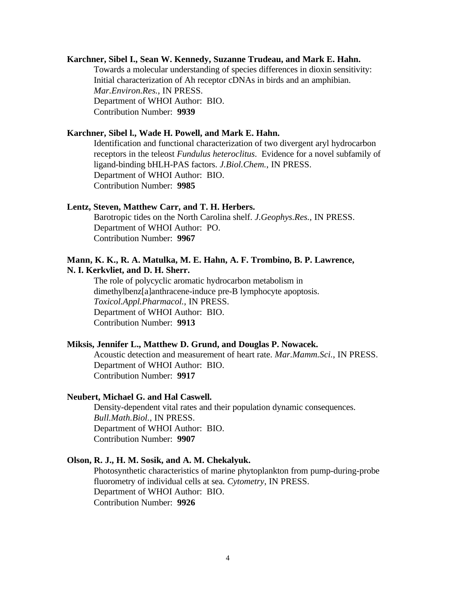#### **Karchner, Sibel I., Sean W. Kennedy, Suzanne Trudeau, and Mark E. Hahn.**

Towards a molecular understanding of species differences in dioxin sensitivity: Initial characterization of Ah receptor cDNAs in birds and an amphibian. *Mar.Environ.Res.*, IN PRESS. Department of WHOI Author: BIO. Contribution Number: **9939**

#### **Karchner, Sibel l., Wade H. Powell, and Mark E. Hahn.**

Identification and functional characterization of two divergent aryl hydrocarbon receptors in the teleost *Fundulus heteroclitus*. Evidence for a novel subfamily of ligand-binding bHLH-PAS factors. *J.Biol.Chem.*, IN PRESS. Department of WHOI Author: BIO. Contribution Number: **9985**

#### **Lentz, Steven, Matthew Carr, and T. H. Herbers.**

Barotropic tides on the North Carolina shelf. *J.Geophys.Res.*, IN PRESS. Department of WHOI Author: PO. Contribution Number: **9967**

#### **Mann, K. K., R. A. Matulka, M. E. Hahn, A. F. Trombino, B. P. Lawrence, N. I. Kerkvliet, and D. H. Sherr.**

The role of polycyclic aromatic hydrocarbon metabolism in dimethylbenz[a]anthracene-induce pre-B lymphocyte apoptosis. *Toxicol.Appl.Pharmacol.*, IN PRESS. Department of WHOI Author: BIO. Contribution Number: **9913**

#### **Miksis, Jennifer L., Matthew D. Grund, and Douglas P. Nowacek.**

Acoustic detection and measurement of heart rate. *Mar.Mamm.Sci.*, IN PRESS. Department of WHOI Author: BIO. Contribution Number: **9917**

#### **Neubert, Michael G. and Hal Caswell.**

Density-dependent vital rates and their population dynamic consequences. *Bull.Math.Biol.*, IN PRESS. Department of WHOI Author: BIO. Contribution Number: **9907**

#### **Olson, R. J., H. M. Sosik, and A. M. Chekalyuk.**

Photosynthetic characteristics of marine phytoplankton from pump-during-probe fluorometry of individual cells at sea. *Cytometry*, IN PRESS. Department of WHOI Author: BIO. Contribution Number: **9926**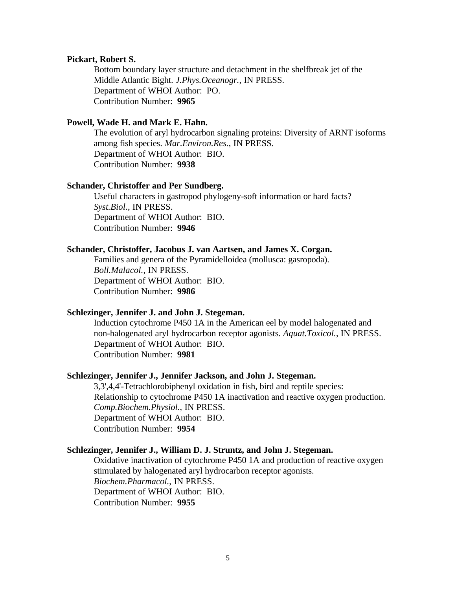#### **Pickart, Robert S.**

Bottom boundary layer structure and detachment in the shelfbreak jet of the Middle Atlantic Bight. *J.Phys.Oceanogr.*, IN PRESS. Department of WHOI Author: PO. Contribution Number: **9965**

## **Powell, Wade H. and Mark E. Hahn.**

The evolution of aryl hydrocarbon signaling proteins: Diversity of ARNT isoforms among fish species. *Mar.Environ.Res.*, IN PRESS. Department of WHOI Author: BIO. Contribution Number: **9938**

#### **Schander, Christoffer and Per Sundberg.**

Useful characters in gastropod phylogeny-soft information or hard facts? *Syst.Biol.*, IN PRESS. Department of WHOI Author: BIO. Contribution Number: **9946**

#### **Schander, Christoffer, Jacobus J. van Aartsen, and James X. Corgan.**

Families and genera of the Pyramidelloidea (mollusca: gasropoda). *Boll.Malacol.*, IN PRESS. Department of WHOI Author: BIO. Contribution Number: **9986**

#### **Schlezinger, Jennifer J. and John J. Stegeman.**

Induction cytochrome P450 1A in the American eel by model halogenated and non-halogenated aryl hydrocarbon receptor agonists. *Aquat.Toxicol.*, IN PRESS. Department of WHOI Author: BIO. Contribution Number: **9981**

#### **Schlezinger, Jennifer J., Jennifer Jackson, and John J. Stegeman.**

3,3',4,4'-Tetrachlorobiphenyl oxidation in fish, bird and reptile species: Relationship to cytochrome P450 1A inactivation and reactive oxygen production. *Comp.Biochem.Physiol.*, IN PRESS. Department of WHOI Author: BIO. Contribution Number: **9954**

### **Schlezinger, Jennifer J., William D. J. Struntz, and John J. Stegeman.**

Oxidative inactivation of cytochrome P450 1A and production of reactive oxygen stimulated by halogenated aryl hydrocarbon receptor agonists. *Biochem.Pharmacol.*, IN PRESS. Department of WHOI Author: BIO. Contribution Number: **9955**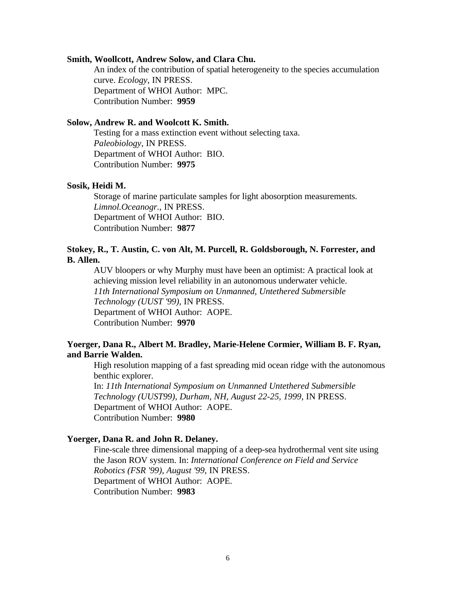#### **Smith, Woollcott, Andrew Solow, and Clara Chu.**

An index of the contribution of spatial heterogeneity to the species accumulation curve. *Ecology*, IN PRESS. Department of WHOI Author: MPC. Contribution Number: **9959**

#### **Solow, Andrew R. and Woolcott K. Smith.**

Testing for a mass extinction event without selecting taxa. *Paleobiology*, IN PRESS. Department of WHOI Author: BIO. Contribution Number: **9975**

#### **Sosik, Heidi M.**

Storage of marine particulate samples for light abosorption measurements. *Limnol.Oceanogr.*, IN PRESS. Department of WHOI Author: BIO. Contribution Number: **9877**

## **Stokey, R., T. Austin, C. von Alt, M. Purcell, R. Goldsborough, N. Forrester, and B. Allen.**

AUV bloopers or why Murphy must have been an optimist: A practical look at achieving mission level reliability in an autonomous underwater vehicle. *11th International Symposium on Unmanned, Untethered Submersible Technology (UUST '99)*, IN PRESS. Department of WHOI Author: AOPE. Contribution Number: **9970**

## **Yoerger, Dana R., Albert M. Bradley, Marie-Helene Cormier, William B. F. Ryan, and Barrie Walden.**

High resolution mapping of a fast spreading mid ocean ridge with the autonomous benthic explorer.

In: *11th International Symposium on Unmanned Untethered Submersible Technology (UUST99), Durham, NH, August 22-25, 1999*, IN PRESS. Department of WHOI Author: AOPE. Contribution Number: **9980**

### **Yoerger, Dana R. and John R. Delaney.**

Fine-scale three dimensional mapping of a deep-sea hydrothermal vent site using the Jason ROV system. In: *International Conference on Field and Service Robotics (FSR '99), August '99*, IN PRESS. Department of WHOI Author: AOPE. Contribution Number: **9983**